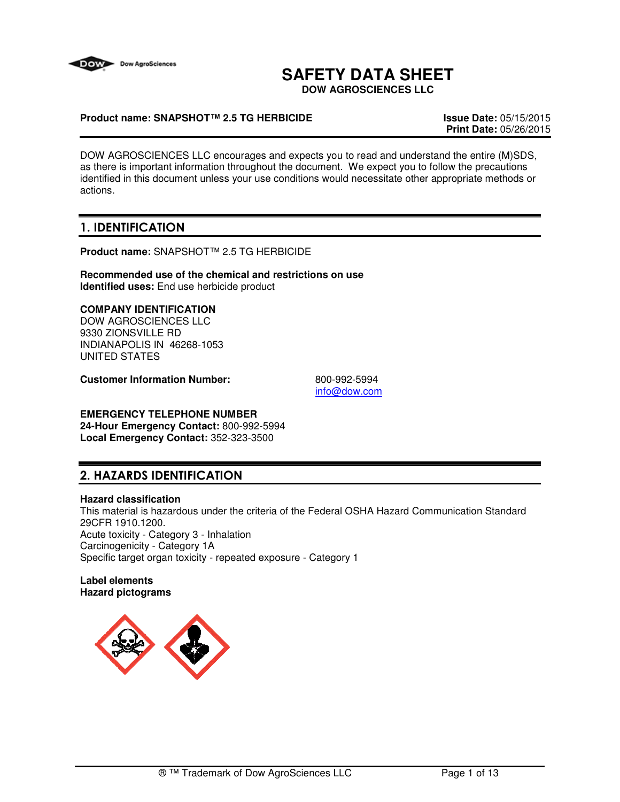

# **SAFETY DATA SHEET**

**DOW AGROSCIENCES LLC**

## **Product name: SNAPSHOT™ 2.5 TG HERBICIDE Issue Date:** 05/15/2015

**Print Date:** 05/26/2015

DOW AGROSCIENCES LLC encourages and expects you to read and understand the entire (M)SDS, as there is important information throughout the document. We expect you to follow the precautions identified in this document unless your use conditions would necessitate other appropriate methods or actions.

## 1. IDENTIFICATION

**Product name:** SNAPSHOT™ 2.5 TG HERBICIDE

**Recommended use of the chemical and restrictions on use Identified uses:** End use herbicide product

## **COMPANY IDENTIFICATION**

DOW AGROSCIENCES LLC 9330 ZIONSVILLE RD INDIANAPOLIS IN 46268-1053 UNITED STATES

**Customer Information Number:** 800-992-5994

info@dow.com

## **EMERGENCY TELEPHONE NUMBER**

**24-Hour Emergency Contact:** 800-992-5994 **Local Emergency Contact:** 352-323-3500

## 2. HAZARDS IDENTIFICATION

#### **Hazard classification**

This material is hazardous under the criteria of the Federal OSHA Hazard Communication Standard 29CFR 1910.1200. Acute toxicity - Category 3 - Inhalation Carcinogenicity - Category 1A Specific target organ toxicity - repeated exposure - Category 1

**Label elements Hazard pictograms**

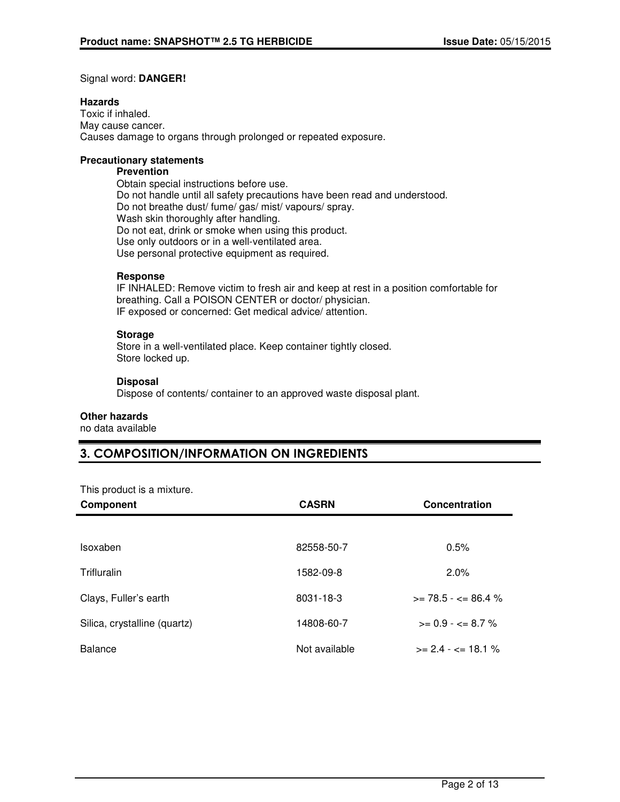### Signal word: **DANGER!**

#### **Hazards**

Toxic if inhaled. May cause cancer. Causes damage to organs through prolonged or repeated exposure.

### **Precautionary statements**

#### **Prevention**

Obtain special instructions before use. Do not handle until all safety precautions have been read and understood. Do not breathe dust/ fume/ gas/ mist/ vapours/ spray. Wash skin thoroughly after handling. Do not eat, drink or smoke when using this product. Use only outdoors or in a well-ventilated area. Use personal protective equipment as required.

### **Response**

IF INHALED: Remove victim to fresh air and keep at rest in a position comfortable for breathing. Call a POISON CENTER or doctor/ physician. IF exposed or concerned: Get medical advice/ attention.

## **Storage**

Store in a well-ventilated place. Keep container tightly closed. Store locked up.

### **Disposal**

Dispose of contents/ container to an approved waste disposal plant.

#### **Other hazards**

no data available

## 3. COMPOSITION/INFORMATION ON INGREDIENTS

This product is a mixture.

| Component                    | <b>CASRN</b>  | Concentration                 |
|------------------------------|---------------|-------------------------------|
|                              |               |                               |
| Isoxaben                     | 82558-50-7    | 0.5%                          |
| Trifluralin                  | 1582-09-8     | $2.0\%$                       |
| Clays, Fuller's earth        | 8031-18-3     | $\ge$ 78.5 - $\lt$ 86.4 %     |
| Silica, crystalline (quartz) | 14808-60-7    | $>= 0.9 - \epsilon = 8.7 \%$  |
| <b>Balance</b>               | Not available | $>= 2.4 - \epsilon = 18.1 \%$ |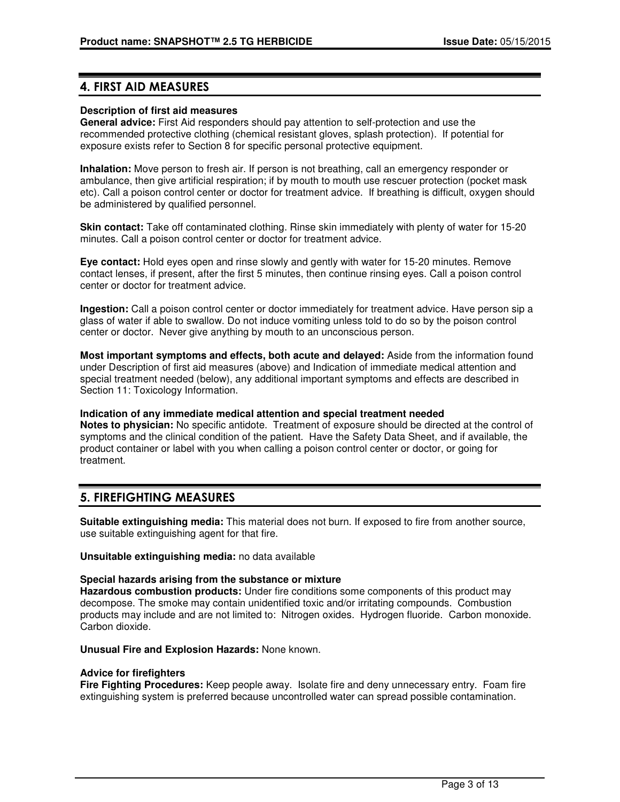## 4. FIRST AID MEASURES

#### **Description of first aid measures**

**General advice:** First Aid responders should pay attention to self-protection and use the recommended protective clothing (chemical resistant gloves, splash protection). If potential for exposure exists refer to Section 8 for specific personal protective equipment.

**Inhalation:** Move person to fresh air. If person is not breathing, call an emergency responder or ambulance, then give artificial respiration; if by mouth to mouth use rescuer protection (pocket mask etc). Call a poison control center or doctor for treatment advice. If breathing is difficult, oxygen should be administered by qualified personnel.

**Skin contact:** Take off contaminated clothing. Rinse skin immediately with plenty of water for 15-20 minutes. Call a poison control center or doctor for treatment advice.

**Eye contact:** Hold eyes open and rinse slowly and gently with water for 15-20 minutes. Remove contact lenses, if present, after the first 5 minutes, then continue rinsing eyes. Call a poison control center or doctor for treatment advice.

**Ingestion:** Call a poison control center or doctor immediately for treatment advice. Have person sip a glass of water if able to swallow. Do not induce vomiting unless told to do so by the poison control center or doctor. Never give anything by mouth to an unconscious person.

**Most important symptoms and effects, both acute and delayed:** Aside from the information found under Description of first aid measures (above) and Indication of immediate medical attention and special treatment needed (below), any additional important symptoms and effects are described in Section 11: Toxicology Information.

**Indication of any immediate medical attention and special treatment needed Notes to physician:** No specific antidote. Treatment of exposure should be directed at the control of symptoms and the clinical condition of the patient. Have the Safety Data Sheet, and if available, the product container or label with you when calling a poison control center or doctor, or going for treatment.

## 5. FIREFIGHTING MEASURES

**Suitable extinguishing media:** This material does not burn. If exposed to fire from another source, use suitable extinguishing agent for that fire.

**Unsuitable extinguishing media:** no data available

#### **Special hazards arising from the substance or mixture**

**Hazardous combustion products:** Under fire conditions some components of this product may decompose. The smoke may contain unidentified toxic and/or irritating compounds. Combustion products may include and are not limited to: Nitrogen oxides. Hydrogen fluoride. Carbon monoxide. Carbon dioxide.

**Unusual Fire and Explosion Hazards:** None known.

#### **Advice for firefighters**

**Fire Fighting Procedures:** Keep people away. Isolate fire and deny unnecessary entry. Foam fire extinguishing system is preferred because uncontrolled water can spread possible contamination.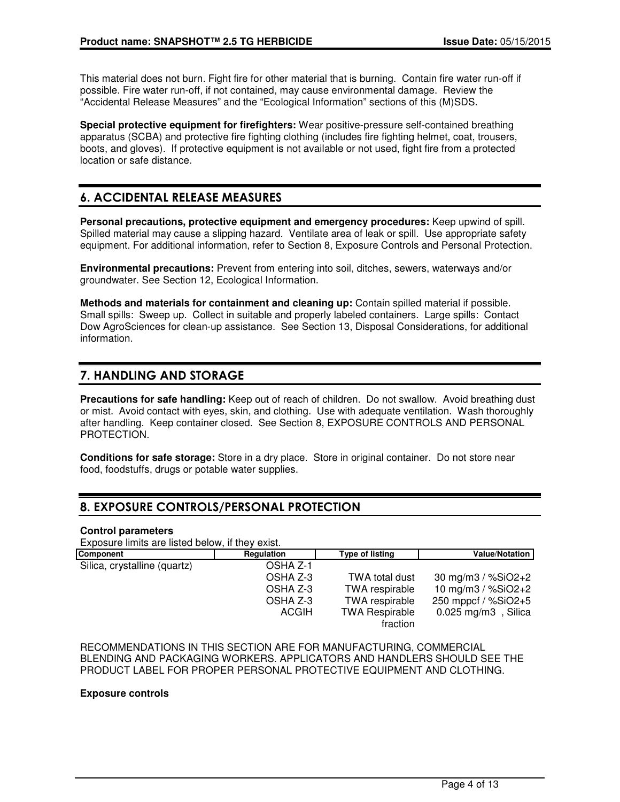This material does not burn. Fight fire for other material that is burning. Contain fire water run-off if possible. Fire water run-off, if not contained, may cause environmental damage. Review the "Accidental Release Measures" and the "Ecological Information" sections of this (M)SDS.

**Special protective equipment for firefighters:** Wear positive-pressure self-contained breathing apparatus (SCBA) and protective fire fighting clothing (includes fire fighting helmet, coat, trousers, boots, and gloves). If protective equipment is not available or not used, fight fire from a protected location or safe distance.

## 6. ACCIDENTAL RELEASE MEASURES

**Personal precautions, protective equipment and emergency procedures:** Keep upwind of spill. Spilled material may cause a slipping hazard. Ventilate area of leak or spill. Use appropriate safety equipment. For additional information, refer to Section 8, Exposure Controls and Personal Protection.

**Environmental precautions:** Prevent from entering into soil, ditches, sewers, waterways and/or groundwater. See Section 12, Ecological Information.

**Methods and materials for containment and cleaning up:** Contain spilled material if possible. Small spills: Sweep up. Collect in suitable and properly labeled containers. Large spills: Contact Dow AgroSciences for clean-up assistance. See Section 13, Disposal Considerations, for additional information.

## 7. HANDLING AND STORAGE

**Precautions for safe handling:** Keep out of reach of children. Do not swallow. Avoid breathing dust or mist. Avoid contact with eyes, skin, and clothing. Use with adequate ventilation. Wash thoroughly after handling. Keep container closed. See Section 8, EXPOSURE CONTROLS AND PERSONAL PROTECTION.

**Conditions for safe storage:** Store in a dry place. Store in original container. Do not store near food, foodstuffs, drugs or potable water supplies.

## 8. EXPOSURE CONTROLS/PERSONAL PROTECTION

#### **Control parameters**

Exposure limits are listed below, if they exist.

| <b>Component</b>             | Regulation | Type of listing       | <b>Value/Notation</b> |
|------------------------------|------------|-----------------------|-----------------------|
| Silica, crystalline (quartz) | OSHA Z-1   |                       |                       |
|                              | OSHA Z-3   | TWA total dust        | 30 mg/m3 / $%SiO2+2$  |
|                              | OSHA Z-3   | TWA respirable        | 10 mg/m3 / %SiO2+2    |
|                              | OSHA Z-3   | TWA respirable        | 250 mppcf / %SiO2+5   |
|                              | ACGIH      | <b>TWA Respirable</b> | $0.025$ mg/m3, Silica |
|                              |            | fraction              |                       |

RECOMMENDATIONS IN THIS SECTION ARE FOR MANUFACTURING, COMMERCIAL BLENDING AND PACKAGING WORKERS. APPLICATORS AND HANDLERS SHOULD SEE THE PRODUCT LABEL FOR PROPER PERSONAL PROTECTIVE EQUIPMENT AND CLOTHING.

#### **Exposure controls**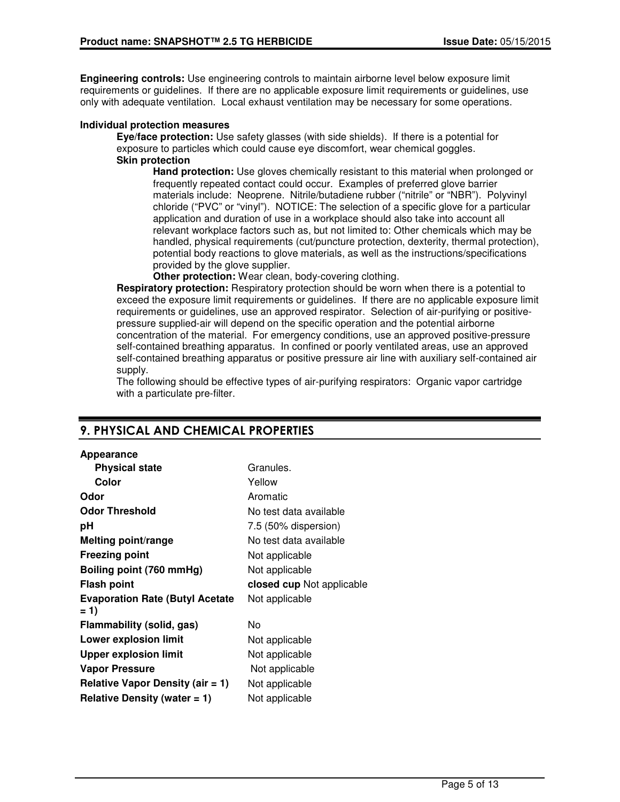**Engineering controls:** Use engineering controls to maintain airborne level below exposure limit requirements or guidelines. If there are no applicable exposure limit requirements or guidelines, use only with adequate ventilation. Local exhaust ventilation may be necessary for some operations.

### **Individual protection measures**

**Eye/face protection:** Use safety glasses (with side shields). If there is a potential for exposure to particles which could cause eye discomfort, wear chemical goggles. **Skin protection**

**Hand protection:** Use gloves chemically resistant to this material when prolonged or frequently repeated contact could occur. Examples of preferred glove barrier materials include: Neoprene. Nitrile/butadiene rubber ("nitrile" or "NBR"). Polyvinyl chloride ("PVC" or "vinyl"). NOTICE: The selection of a specific glove for a particular application and duration of use in a workplace should also take into account all relevant workplace factors such as, but not limited to: Other chemicals which may be handled, physical requirements (cut/puncture protection, dexterity, thermal protection), potential body reactions to glove materials, as well as the instructions/specifications provided by the glove supplier.

**Other protection:** Wear clean, body-covering clothing.

**Respiratory protection:** Respiratory protection should be worn when there is a potential to exceed the exposure limit requirements or guidelines. If there are no applicable exposure limit requirements or guidelines, use an approved respirator. Selection of air-purifying or positivepressure supplied-air will depend on the specific operation and the potential airborne concentration of the material. For emergency conditions, use an approved positive-pressure self-contained breathing apparatus. In confined or poorly ventilated areas, use an approved self-contained breathing apparatus or positive pressure air line with auxiliary self-contained air supply.

The following should be effective types of air-purifying respirators: Organic vapor cartridge with a particulate pre-filter.

| Granules.                 |
|---------------------------|
| Yellow                    |
| Aromatic                  |
| No test data available    |
| 7.5 (50% dispersion)      |
| No test data available    |
| Not applicable            |
| Not applicable            |
| closed cup Not applicable |
| Not applicable            |
| No                        |
| Not applicable            |
| Not applicable            |
| Not applicable            |
| Not applicable            |
| Not applicable            |
|                           |

## 9. PHYSICAL AND CHEMICAL PROPERTIES

**Appearance**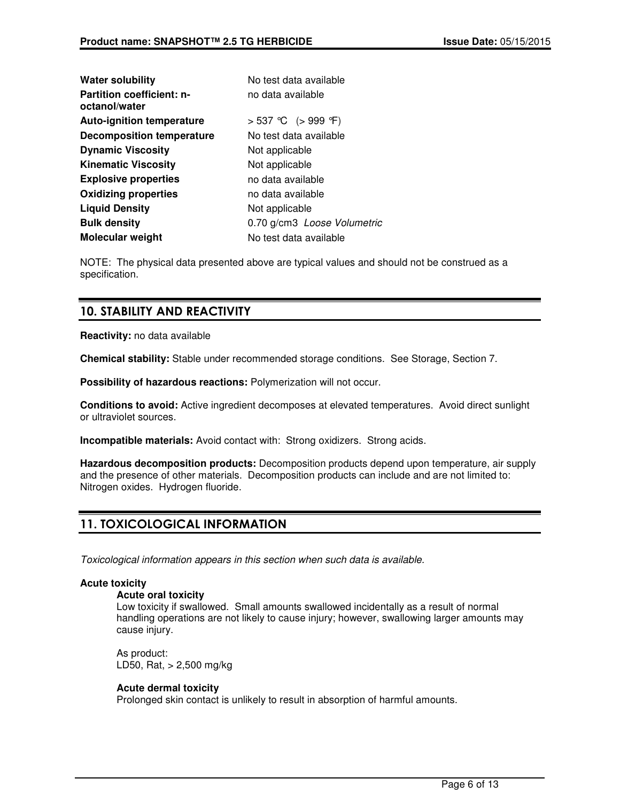| Water solubility                                  | No test data available      |  |
|---------------------------------------------------|-----------------------------|--|
| <b>Partition coefficient: n-</b><br>octanol/water | no data available           |  |
| <b>Auto-ignition temperature</b>                  | > 537 °C (> 999 °F)         |  |
| <b>Decomposition temperature</b>                  | No test data available      |  |
| <b>Dynamic Viscosity</b>                          | Not applicable              |  |
| <b>Kinematic Viscosity</b>                        | Not applicable              |  |
| <b>Explosive properties</b>                       | no data available           |  |
| <b>Oxidizing properties</b>                       | no data available           |  |
| <b>Liquid Density</b>                             | Not applicable              |  |
| <b>Bulk density</b>                               | 0.70 g/cm3 Loose Volumetric |  |
| Molecular weight                                  | No test data available      |  |
|                                                   |                             |  |

NOTE: The physical data presented above are typical values and should not be construed as a specification.

## 10. STABILITY AND REACTIVITY

**Reactivity:** no data available

**Chemical stability:** Stable under recommended storage conditions. See Storage, Section 7.

**Possibility of hazardous reactions:** Polymerization will not occur.

**Conditions to avoid:** Active ingredient decomposes at elevated temperatures. Avoid direct sunlight or ultraviolet sources.

**Incompatible materials:** Avoid contact with: Strong oxidizers. Strong acids.

**Hazardous decomposition products:** Decomposition products depend upon temperature, air supply and the presence of other materials. Decomposition products can include and are not limited to: Nitrogen oxides. Hydrogen fluoride.

## 11. TOXICOLOGICAL INFORMATION

Toxicological information appears in this section when such data is available.

## **Acute toxicity**

#### **Acute oral toxicity**

Low toxicity if swallowed. Small amounts swallowed incidentally as a result of normal handling operations are not likely to cause injury; however, swallowing larger amounts may cause injury.

As product: LD50, Rat, > 2,500 mg/kg

## **Acute dermal toxicity**

Prolonged skin contact is unlikely to result in absorption of harmful amounts.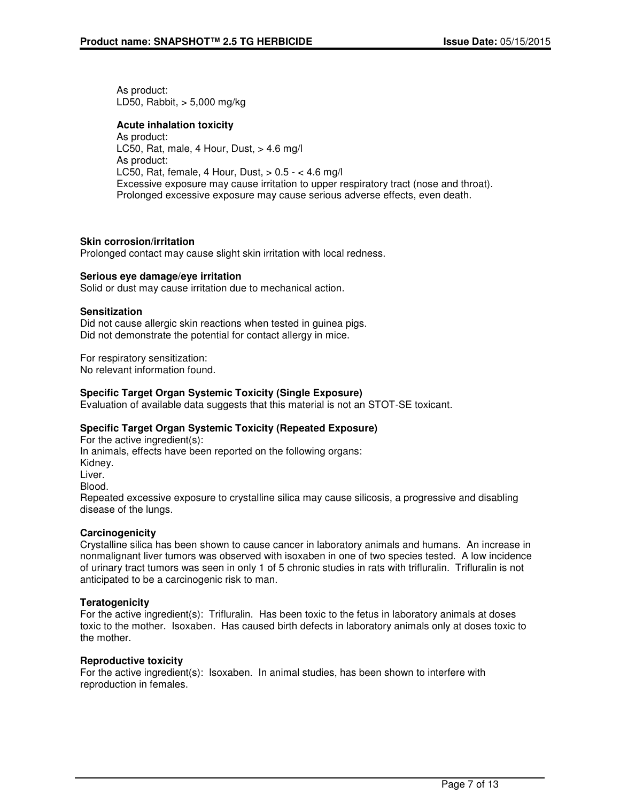As product: LD50, Rabbit, > 5,000 mg/kg

### **Acute inhalation toxicity**

As product: LC50, Rat, male, 4 Hour, Dust,  $> 4.6$  mg/l As product: LC50, Rat, female, 4 Hour, Dust, > 0.5 - < 4.6 mg/l Excessive exposure may cause irritation to upper respiratory tract (nose and throat). Prolonged excessive exposure may cause serious adverse effects, even death.

### **Skin corrosion/irritation**

Prolonged contact may cause slight skin irritation with local redness.

### **Serious eye damage/eye irritation**

Solid or dust may cause irritation due to mechanical action.

### **Sensitization**

Did not cause allergic skin reactions when tested in guinea pigs. Did not demonstrate the potential for contact allergy in mice.

For respiratory sensitization: No relevant information found.

## **Specific Target Organ Systemic Toxicity (Single Exposure)**

Evaluation of available data suggests that this material is not an STOT-SE toxicant.

## **Specific Target Organ Systemic Toxicity (Repeated Exposure)**

For the active ingredient(s): In animals, effects have been reported on the following organs: Kidney. Liver. Blood. Repeated excessive exposure to crystalline silica may cause silicosis, a progressive and disabling disease of the lungs.

## **Carcinogenicity**

Crystalline silica has been shown to cause cancer in laboratory animals and humans. An increase in nonmalignant liver tumors was observed with isoxaben in one of two species tested. A low incidence of urinary tract tumors was seen in only 1 of 5 chronic studies in rats with trifluralin. Trifluralin is not anticipated to be a carcinogenic risk to man.

#### **Teratogenicity**

For the active ingredient(s): Trifluralin. Has been toxic to the fetus in laboratory animals at doses toxic to the mother. Isoxaben. Has caused birth defects in laboratory animals only at doses toxic to the mother.

#### **Reproductive toxicity**

For the active ingredient(s): Isoxaben. In animal studies, has been shown to interfere with reproduction in females.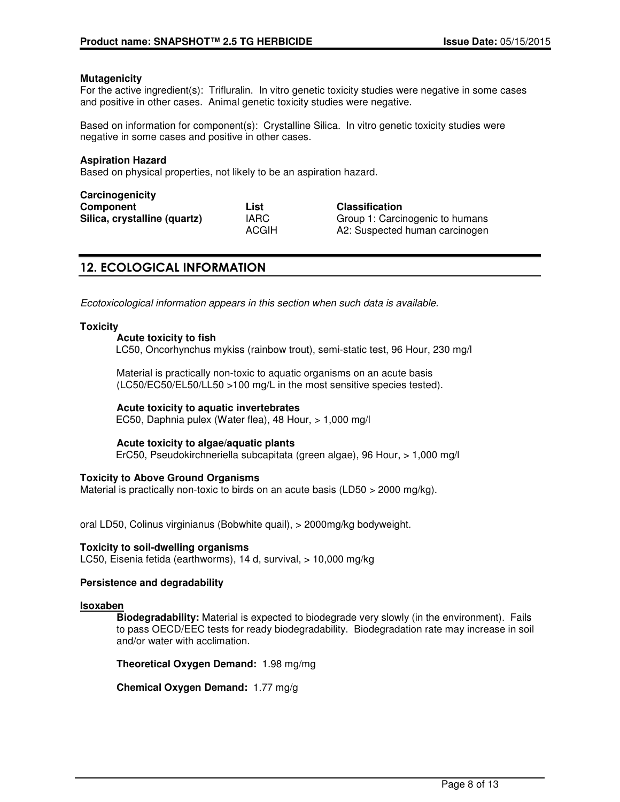#### **Mutagenicity**

For the active ingredient(s): Trifluralin. In vitro genetic toxicity studies were negative in some cases and positive in other cases. Animal genetic toxicity studies were negative.

Based on information for component(s): Crystalline Silica. In vitro genetic toxicity studies were negative in some cases and positive in other cases.

#### **Aspiration Hazard**

Based on physical properties, not likely to be an aspiration hazard.

| Carcinogenicity              |              |
|------------------------------|--------------|
| Component                    | List         |
| Silica, crystalline (quartz) | <b>IARC</b>  |
|                              | <b>ACGIH</b> |

 $Clas$  **Classification Group 1: Carcinogenic to humans** A2: Suspected human carcinogen

## 12. ECOLOGICAL INFORMATION

Ecotoxicological information appears in this section when such data is available.

#### **Toxicity**

#### **Acute toxicity to fish**

LC50, Oncorhynchus mykiss (rainbow trout), semi-static test, 96 Hour, 230 mg/l

Material is practically non-toxic to aquatic organisms on an acute basis (LC50/EC50/EL50/LL50 >100 mg/L in the most sensitive species tested).

#### **Acute toxicity to aquatic invertebrates**

EC50, Daphnia pulex (Water flea), 48 Hour, > 1,000 mg/l

#### **Acute toxicity to algae/aquatic plants**

ErC50, Pseudokirchneriella subcapitata (green algae), 96 Hour, > 1,000 mg/l

#### **Toxicity to Above Ground Organisms**

Material is practically non-toxic to birds on an acute basis (LD50 > 2000 mg/kg).

oral LD50, Colinus virginianus (Bobwhite quail), > 2000mg/kg bodyweight.

## **Toxicity to soil-dwelling organisms**

LC50, Eisenia fetida (earthworms), 14 d, survival, > 10,000 mg/kg

#### **Persistence and degradability**

#### **Isoxaben**

**Biodegradability:** Material is expected to biodegrade very slowly (in the environment). Fails to pass OECD/EEC tests for ready biodegradability. Biodegradation rate may increase in soil and/or water with acclimation.

**Theoretical Oxygen Demand:** 1.98 mg/mg

**Chemical Oxygen Demand:** 1.77 mg/g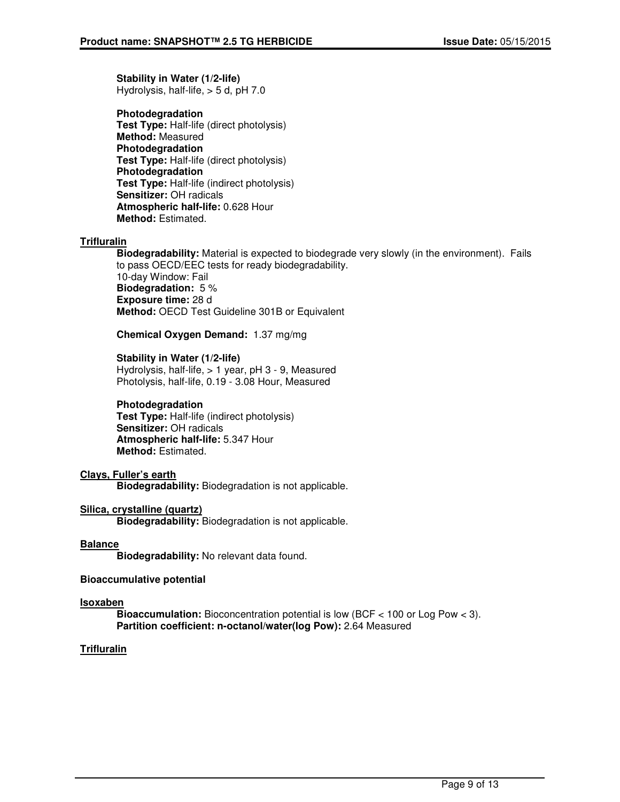**Stability in Water (1/2-life)** Hydrolysis, half-life, > 5 d, pH 7.0

**Photodegradation Test Type:** Half-life (direct photolysis) **Method:** Measured **Photodegradation Test Type:** Half-life (direct photolysis) **Photodegradation Test Type:** Half-life (indirect photolysis) **Sensitizer:** OH radicals **Atmospheric half-life:** 0.628 Hour **Method:** Estimated.

## **Trifluralin**

**Biodegradability:** Material is expected to biodegrade very slowly (in the environment). Fails to pass OECD/EEC tests for ready biodegradability. 10-day Window: Fail **Biodegradation:** 5 % **Exposure time:** 28 d **Method:** OECD Test Guideline 301B or Equivalent

**Chemical Oxygen Demand:** 1.37 mg/mg

### **Stability in Water (1/2-life)**

Hydrolysis, half-life, > 1 year, pH 3 - 9, Measured Photolysis, half-life, 0.19 - 3.08 Hour, Measured

#### **Photodegradation**

**Test Type:** Half-life (indirect photolysis) **Sensitizer:** OH radicals **Atmospheric half-life:** 5.347 Hour **Method:** Estimated.

## **Clays, Fuller's earth**

**Biodegradability:** Biodegradation is not applicable.

## **Silica, crystalline (quartz)**

**Biodegradability:** Biodegradation is not applicable.

#### **Balance**

**Biodegradability:** No relevant data found.

#### **Bioaccumulative potential**

## **Isoxaben**

**Bioaccumulation:** Bioconcentration potential is low (BCF < 100 or Log Pow < 3). **Partition coefficient: n-octanol/water(log Pow):** 2.64 Measured

## **Trifluralin**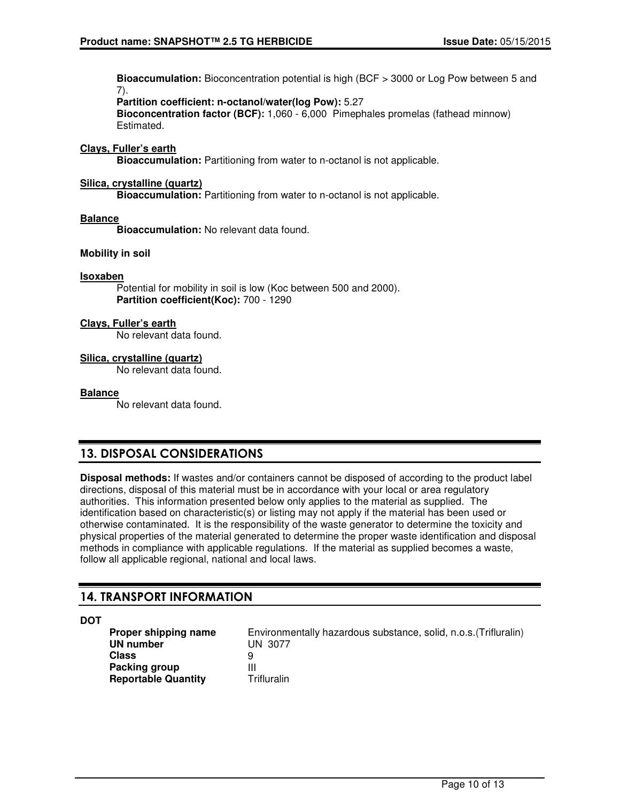**Bioaccumulation:** Bioconcentration potential is high (BCF > 3000 or Log Pow between 5 and 7).

**Partition coefficient: n-octanol/water(log Pow):** 5.27 **Bioconcentration factor (BCF):** 1,060 - 6,000 Pimephales promelas (fathead minnow) Estimated.

### **Clays, Fuller's earth**

**Bioaccumulation:** Partitioning from water to n-octanol is not applicable.

#### **Silica, crystalline (quartz)**

**Bioaccumulation:** Partitioning from water to n-octanol is not applicable.

#### **Balance**

**Bioaccumulation:** No relevant data found.

#### **Mobility in soil**

#### **Isoxaben**

Potential for mobility in soil is low (Koc between 500 and 2000). **Partition coefficient(Koc):** 700 - 1290

#### **Clays, Fuller's earth**

No relevant data found.

#### **Silica, crystalline (quartz)**

No relevant data found.

#### **Balance**

No relevant data found.

## 13. DISPOSAL CONSIDERATIONS

**Disposal methods:** If wastes and/or containers cannot be disposed of according to the product label directions, disposal of this material must be in accordance with your local or area regulatory authorities. This information presented below only applies to the material as supplied. The identification based on characteristic(s) or listing may not apply if the material has been used or otherwise contaminated. It is the responsibility of the waste generator to determine the toxicity and physical properties of the material generated to determine the proper waste identification and disposal methods in compliance with applicable regulations. If the material as supplied becomes a waste, follow all applicable regional, national and local laws.

## 14. TRANSPORT INFORMATION

**DOT**

**UN number** UN 3077 **Class** 9<br>**Packing group** 111 **Packing group**<br> **Reportable Quantity** Trifluralin **Reportable Quantity** 

**Proper shipping name** Environmentally hazardous substance, solid, n.o.s. (Trifluralin)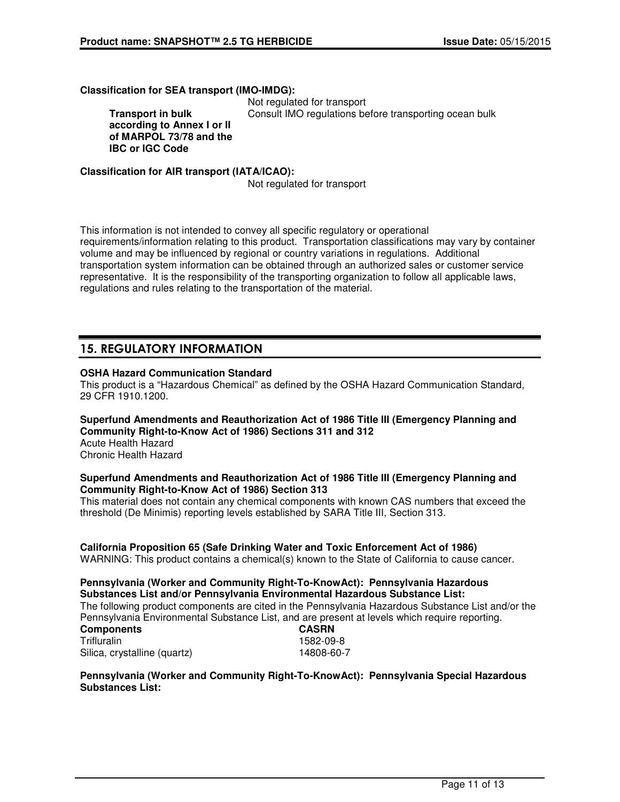**Classification for SEA transport (IMO-IMDG):**

 Not regulated for transport Consult IMO regulations before transporting ocean bulk

**Transport in bulk according to Annex I or II of MARPOL 73/78 and the IBC or IGC Code**

**Classification for AIR transport (IATA/ICAO):**

Not regulated for transport

This information is not intended to convey all specific regulatory or operational requirements/information relating to this product. Transportation classifications may vary by container volume and may be influenced by regional or country variations in regulations. Additional transportation system information can be obtained through an authorized sales or customer service representative. It is the responsibility of the transporting organization to follow all applicable laws, regulations and rules relating to the transportation of the material.

## 15. REGULATORY INFORMATION

## **OSHA Hazard Communication Standard**

This product is a "Hazardous Chemical" as defined by the OSHA Hazard Communication Standard, 29 CFR 1910.1200.

**Superfund Amendments and Reauthorization Act of 1986 Title III (Emergency Planning and Community Right-to-Know Act of 1986) Sections 311 and 312**

Acute Health Hazard Chronic Health Hazard

#### **Superfund Amendments and Reauthorization Act of 1986 Title III (Emergency Planning and Community Right-to-Know Act of 1986) Section 313**

This material does not contain any chemical components with known CAS numbers that exceed the threshold (De Minimis) reporting levels established by SARA Title III, Section 313.

## **California Proposition 65 (Safe Drinking Water and Toxic Enforcement Act of 1986)**

WARNING: This product contains a chemical(s) known to the State of California to cause cancer.

### **Pennsylvania (Worker and Community Right-To-KnowAct): Pennsylvania Hazardous Substances List and/or Pennsylvania Environmental Hazardous Substance List:**

The following product components are cited in the Pennsylvania Hazardous Substance List and/or the Pennsylvania Environmental Substance List, and are present at levels which require reporting.

| <b>Components</b>            | <b>CASRN</b> |
|------------------------------|--------------|
| Trifluralin                  | 1582-09-8    |
| Silica, crystalline (quartz) | 14808-60-7   |

### **Pennsylvania (Worker and Community Right-To-KnowAct): Pennsylvania Special Hazardous Substances List:**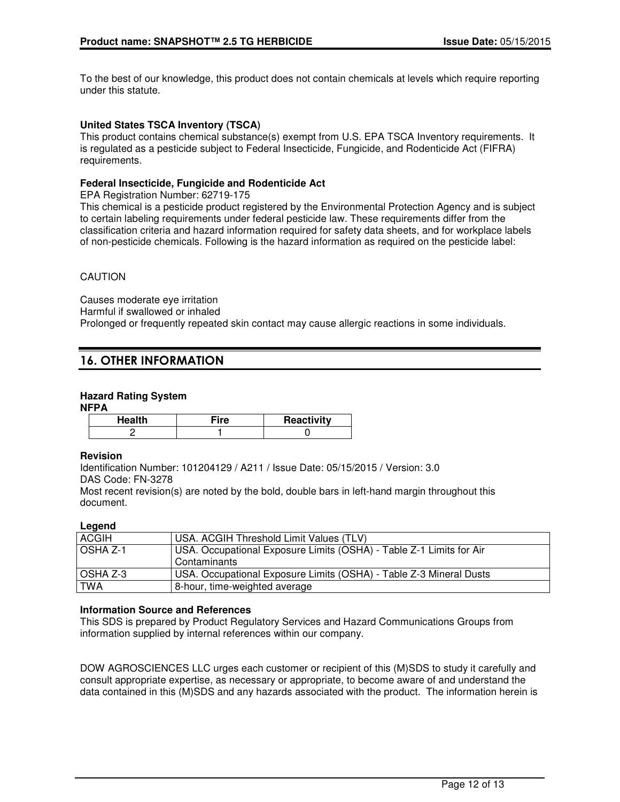To the best of our knowledge, this product does not contain chemicals at levels which require reporting under this statute.

## **United States TSCA Inventory (TSCA)**

This product contains chemical substance(s) exempt from U.S. EPA TSCA Inventory requirements. It is regulated as a pesticide subject to Federal Insecticide, Fungicide, and Rodenticide Act (FIFRA) requirements.

### **Federal Insecticide, Fungicide and Rodenticide Act**

EPA Registration Number: 62719-175

This chemical is a pesticide product registered by the Environmental Protection Agency and is subject to certain labeling requirements under federal pesticide law. These requirements differ from the classification criteria and hazard information required for safety data sheets, and for workplace labels of non-pesticide chemicals. Following is the hazard information as required on the pesticide label:

## CAUTION

Causes moderate eye irritation Harmful if swallowed or inhaled Prolonged or frequently repeated skin contact may cause allergic reactions in some individuals.

## 16. OTHER INFORMATION

### **Hazard Rating System**

#### **NFPA**

| ----   |      |            |
|--------|------|------------|
| Health | ™ire | Reactivity |
|        |      |            |

#### **Revision**

Identification Number: 101204129 / A211 / Issue Date: 05/15/2015 / Version: 3.0 DAS Code: FN-3278

Most recent revision(s) are noted by the bold, double bars in left-hand margin throughout this document.

## **Legend**

| <b>ACGIH</b>    | USA. ACGIH Threshold Limit Values (TLV)                                               |
|-----------------|---------------------------------------------------------------------------------------|
| <b>OSHA Z-1</b> | USA. Occupational Exposure Limits (OSHA) - Table Z-1 Limits for Air<br>l Contaminants |
| OSHA Z-3        | USA. Occupational Exposure Limits (OSHA) - Table Z-3 Mineral Dusts                    |
| <b>TWA</b>      | 8-hour, time-weighted average                                                         |

## **Information Source and References**

This SDS is prepared by Product Regulatory Services and Hazard Communications Groups from information supplied by internal references within our company.

DOW AGROSCIENCES LLC urges each customer or recipient of this (M)SDS to study it carefully and consult appropriate expertise, as necessary or appropriate, to become aware of and understand the data contained in this (M)SDS and any hazards associated with the product. The information herein is